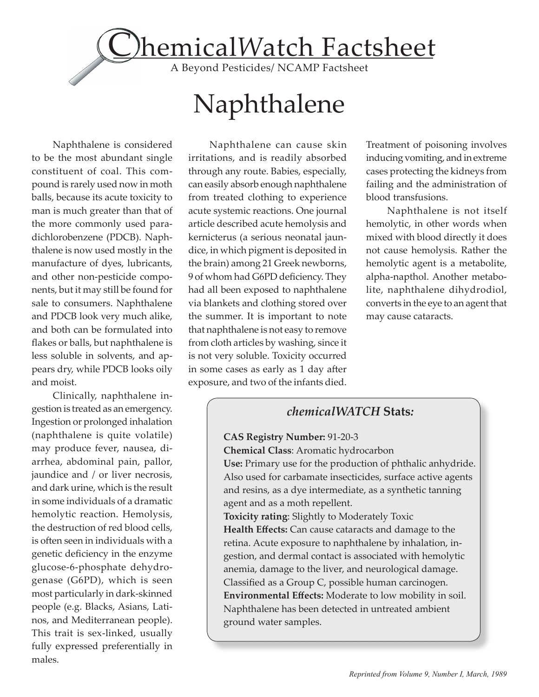

# Naphthalene

Naphthalene is considered to be the most abundant single constituent of coal. This compound is rarely used now in moth balls, because its acute toxicity to man is much greater than that of the more commonly used paradichlorobenzene (PDCB). Naphthalene is now used mostly in the manufacture of dyes, lubricants, and other non-pesticide components, but it may still be found for sale to consumers. Naphthalene and PDCB look very much alike, and both can be formulated into flakes or balls, but naphthalene is less soluble in solvents, and appears dry, while PDCB looks oily and moist.

Clinically, naphthalene ingestion is treated as an emergency. Ingestion or prolonged inhalation (naphthalene is quite volatile) may produce fever, nausea, diarrhea, abdominal pain, pallor, jaundice and / or liver necrosis, and dark urine, which is the result in some individuals of a dramatic hemolytic reaction. Hemolysis, the destruction of red blood cells, is often seen in individuals with a genetic deficiency in the enzyme glucose-6-phosphate dehydrogenase (G6PD), which is seen most particularly in dark-skinned people (e.g. Blacks, Asians, Latinos, and Mediterranean people). This trait is sex-linked, usually fully expressed preferentially in males.

Naphthalene can cause skin irritations, and is readily absorbed through any route. Babies, especially, can easily absorb enough naphthalene from treated clothing to experience acute systemic reactions. One journal article described acute hemolysis and kernicterus (a serious neonatal jaundice, in which pigment is deposited in the brain) among 21 Greek newborns, 9 of whom had G6PD deficiency. They had all been exposed to naphthalene via blankets and clothing stored over the summer. It is important to note that naphthalene is not easy to remove from cloth articles by washing, since it is not very soluble. Toxicity occurred in some cases as early as 1 day after exposure, and two of the infants died.

Treatment of poisoning involves inducing vomiting, and in extreme cases protecting the kidneys from failing and the administration of blood transfusions.

Naphthalene is not itself hemolytic, in other words when mixed with blood directly it does not cause hemolysis. Rather the hemolytic agent is a metabolite, alpha-napthol. Another metabolite, naphthalene dihydrodiol, converts in the eye to an agent that may cause cataracts.

## *chemicalWATCH* **Stats***:*

#### **CAS Registry Number:** 91-20-3

**Chemical Class**: Aromatic hydrocarbon

**Use:** Primary use for the production of phthalic anhydride. Also used for carbamate insecticides, surface active agents and resins, as a dye intermediate, as a synthetic tanning agent and as a moth repellent.

**Toxicity rating**: Slightly to Moderately Toxic **Health Effects:** Can cause cataracts and damage to the retina. Acute exposure to naphthalene by inhalation, ingestion, and dermal contact is associated with hemolytic anemia, damage to the liver, and neurological damage. Classified as a Group C, possible human carcinogen. **Environmental Effects:** Moderate to low mobility in soil. Naphthalene has been detected in untreated ambient ground water samples.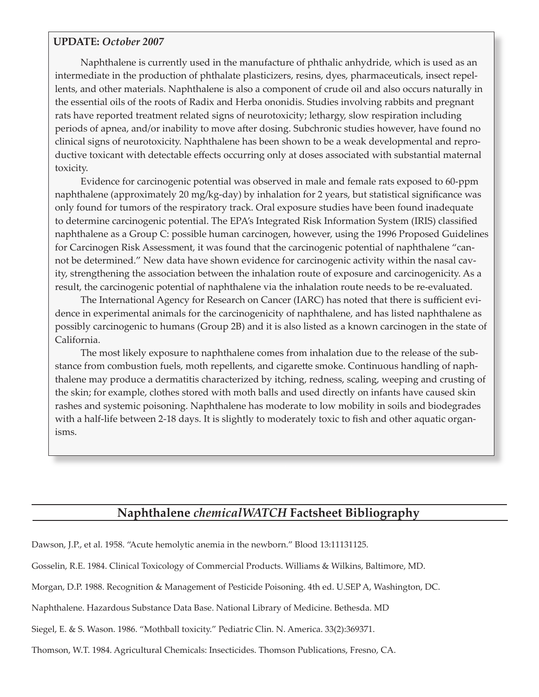#### **UPDATE:** *October 2007*

Naphthalene is currently used in the manufacture of phthalic anhydride, which is used as an intermediate in the production of phthalate plasticizers, resins, dyes, pharmaceuticals, insect repellents, and other materials. Naphthalene is also a component of crude oil and also occurs naturally in the essential oils of the roots of Radix and Herba ononidis. Studies involving rabbits and pregnant rats have reported treatment related signs of neurotoxicity; lethargy, slow respiration including periods of apnea, and/or inability to move a�er dosing. Subchronic studies however, have found no clinical signs of neurotoxicity. Naphthalene has been shown to be a weak developmental and reproductive toxicant with detectable effects occurring only at doses associated with substantial maternal toxicity.

 Evidence for carcinogenic potential was observed in male and female rats exposed to 60-ppm naphthalene (approximately 20 mg/kg-day) by inhalation for 2 years, but statistical significance was only found for tumors of the respiratory track. Oral exposure studies have been found inadequate to determine carcinogenic potential. The EPA's Integrated Risk Information System (IRIS) classified naphthalene as a Group C: possible human carcinogen, however, using the 1996 Proposed Guidelines for Carcinogen Risk Assessment, it was found that the carcinogenic potential of naphthalene "cannot be determined." New data have shown evidence for carcinogenic activity within the nasal cavity, strengthening the association between the inhalation route of exposure and carcinogenicity. As a result, the carcinogenic potential of naphthalene via the inhalation route needs to be re-evaluated.

 The International Agency for Research on Cancer (IARC) has noted that there is sufficient evidence in experimental animals for the carcinogenicity of naphthalene, and has listed naphthalene as possibly carcinogenic to humans (Group 2B) and it is also listed as a known carcinogen in the state of California.

 The most likely exposure to naphthalene comes from inhalation due to the release of the substance from combustion fuels, moth repellents, and cigarette smoke. Continuous handling of naphthalene may produce a dermatitis characterized by itching, redness, scaling, weeping and crusting of the skin; for example, clothes stored with moth balls and used directly on infants have caused skin rashes and systemic poisoning. Naphthalene has moderate to low mobility in soils and biodegrades with a half-life between 2-18 days. It is slightly to moderately toxic to fish and other aquatic organisms.

## **Naphthalene** *chemicalWATCH* **Factsheet Bibliography**

Dawson, J.P., et al. 1958. "Acute hemolytic anemia in the newborn." Blood 13:11131125.

Gosselin, R.E. 1984. Clinical Toxicology of Commercial Products. Williams & Wilkins, Baltimore, MD.

Morgan, D.P. 1988. Recognition & Management of Pesticide Poisoning. 4th ed. U.SEP A, Washington, DC.

Naphthalene. Hazardous Substance Data Base. National Library of Medicine. Bethesda. MD

Siegel, E. & S. Wason. 1986. "Mothball toxicity." Pediatric Clin. N. America. 33(2):369371.

Thomson, W.T. 1984. Agricultural Chemicals: Insecticides. Thomson Publications, Fresno, CA.